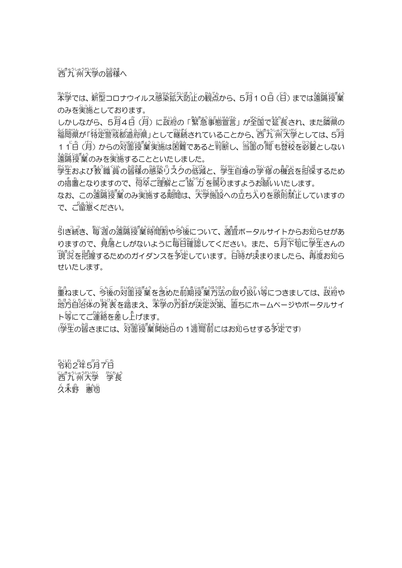にきゅうしゅうだいがく<br>西 九 州大学の皆様へ

<u>%</u>悠では、新塑コロナウイルス感染拡大防止の観点から、5月10日(旨)までは遠隔授業 のみを実施としております。

しかしながら、5月4百(月)に政府の「繁急事態営営」が全国で延長され、また隣県の 経<u>総</u>防、経営総署の会社のの総務されていることから、西九 州大学としては、5月 11百 (月) からの対面授業実施は困難であると判断し、当箇の間も登校を必要としない <u>、<br>遠隔授業のみを実施することといたしました。</u>

警生および教 職 賞 の皆様の感染りスクの砥城と、 学生自身の学 修の機会を担保するため の瘖竇となりますので、简萃ご理解とご協プづを賜りますようお願いいたします。

なお、この遠隔授業のみ実施する期間は、「沙袋装認への立ち入りを隙萴禁止していますの で、ご留意ください。

。<br>引き続き、毎週の遠隔授業時間割や今後について、適宜ポータルサイトからお知らせがあ りますので、覚落としがないように毎日確認してください。また、5月下旬に学生さんの "<br>9、現況を把握するためのガイダンスを予定しています。日時が決まりましたら、 <br>第5、 せいたします。

筆ねまして、 今後の対箇授業を含めた前期授業方法の取り扱い等につきましては、 政冷や <u>。</u><br>地方自治体の発 表を踏まえ、 本学の方針が決定次第、 置ちにホームページやポータルサイ ト等にてご運絡を差し上げます。

(学生の習さまには、対箇寝業解説日の1週間前にはお知らせする予定です)

答える おんじょう しゅうかん いちのう しゅうしゃ しゅうしゃ しゅうしゅう しゅうしゅう しゅうしゃ しゅうしゅう しゅうしゃ しゅうしゃ しゅうしゃ しゅうしゃ に<sub>ピ゚゚</sub>ゕぅゖぅぉ෭ぃべく べちょう<br>西 九 州大学 学長 久 ネ野 憲司